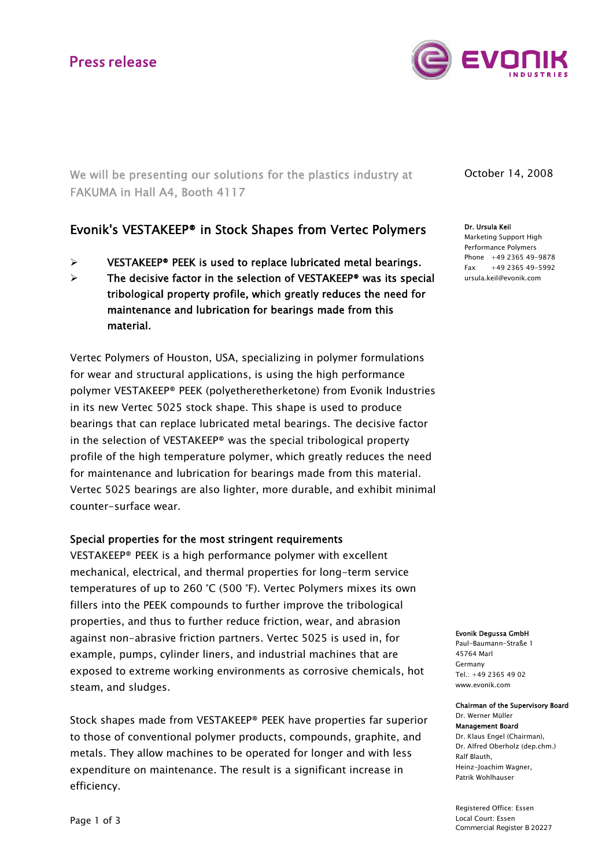

We will be presenting our solutions for the plastics industry at FAKUMA in Hall A4, Booth 4117

## Evonik's VESTAKEEP® in Stock Shapes from Vertec Polymers

- $\triangleright$  VESTAKEEP<sup>®</sup> PEEK is used to replace lubricated metal bearings.
- The decisive factor in the selection of VESTAKEEP<sup>®</sup> was its special tribological property profile, which greatly reduces the need for maintenance and lubrication for bearings made from this material.

Vertec Polymers of Houston, USA, specializing in polymer formulations for wear and structural applications, is using the high performance polymer VESTAKEEP® PEEK (polyetheretherketone) from Evonik Industries in its new Vertec 5025 stock shape. This shape is used to produce bearings that can replace lubricated metal bearings. The decisive factor in the selection of VESTAKEEP® was the special tribological property profile of the high temperature polymer, which greatly reduces the need for maintenance and lubrication for bearings made from this material. Vertec 5025 bearings are also lighter, more durable, and exhibit minimal counter-surface wear.

## Special properties for the most stringent requirements

VESTAKEEP® PEEK is a high performance polymer with excellent mechanical, electrical, and thermal properties for long-term service temperatures of up to 260 °C (500 °F). Vertec Polymers mixes its own fillers into the PEEK compounds to further improve the tribological properties, and thus to further reduce friction, wear, and abrasion against non-abrasive friction partners. Vertec 5025 is used in, for example, pumps, cylinder liners, and industrial machines that are exposed to extreme working environments as corrosive chemicals, hot steam, and sludges.

Stock shapes made from VESTAKEEP® PEEK have properties far superior to those of conventional polymer products, compounds, graphite, and metals. They allow machines to be operated for longer and with less expenditure on maintenance. The result is a significant increase in efficiency.

October 14, 2008

Dr. Ursula Keil Marketing Support High Performance Polymers Phone +49 2365 49-9878  $Fax +49 2365 49 - 5992$ ursula.keil@evonik.com

Evonik Degussa GmbH

Paul-Baumann-Straße 1 45764 Marl Germany  $Tel: +49.2365.49.02$ www.evonik.com

### Chairman of the Supervisory Board Dr. Werner Müller

Management Board Dr. Klaus Engel (Chairman), Dr. Alfred Oberholz (dep.chm.) Ralf Blauth, Heinz-Joachim Wagner, Patrik Wohlhauser

Registered Office: Essen Local Court: Essen Commercial Register B 20227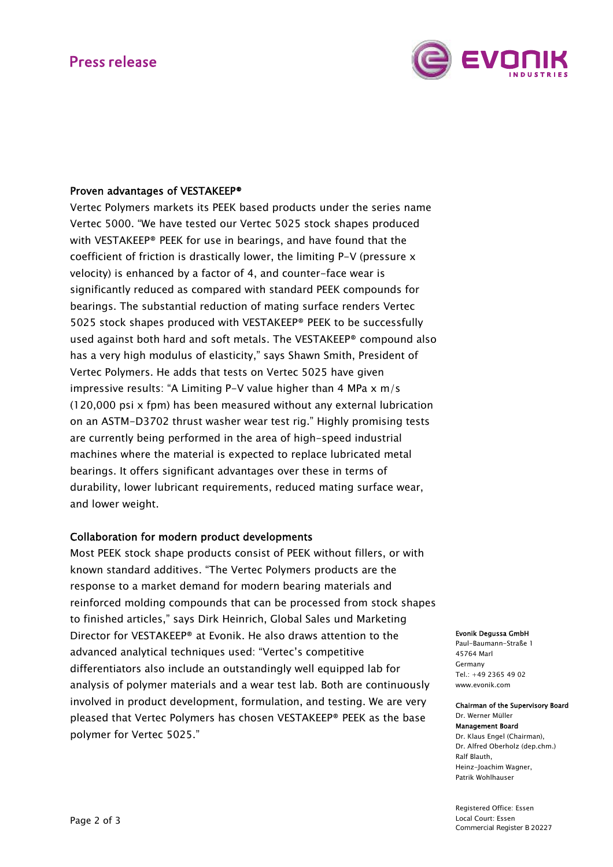

## Proven advantages of VESTAKEEP®

Vertec Polymers markets its PEEK based products under the series name Vertec 5000. "We have tested our Vertec 5025 stock shapes produced with VESTAKEEP® PEEK for use in bearings, and have found that the coefficient of friction is drastically lower, the limiting P-V (pressure x velocity) is enhanced by a factor of 4, and counter-face wear is significantly reduced as compared with standard PEEK compounds for bearings. The substantial reduction of mating surface renders Vertec 5025 stock shapes produced with VESTAKEEP® PEEK to be successfully used against both hard and soft metals. The VESTAKEEP® compound also has a very high modulus of elasticity," says Shawn Smith, President of Vertec Polymers. He adds that tests on Vertec 5025 have given impressive results: "A Limiting P-V value higher than 4 MPa x m/s (120,000 psi x fpm) has been measured without any external lubrication on an ASTM-D3702 thrust washer wear test rig." Highly promising tests are currently being performed in the area of high-speed industrial machines where the material is expected to replace lubricated metal bearings. It offers significant advantages over these in terms of durability, lower lubricant requirements, reduced mating surface wear, and lower weight.

## Collaboration for modern product developments

Most PEEK stock shape products consist of PEEK without fillers, or with known standard additives. "The Vertec Polymers products are the response to a market demand for modern bearing materials and reinforced molding compounds that can be processed from stock shapes to finished articles," says Dirk Heinrich, Global Sales und Marketing Director for VESTAKEEP® at Evonik. He also draws attention to the advanced analytical techniques used: "Vertec's competitive differentiators also include an outstandingly well equipped lab for analysis of polymer materials and a wear test lab. Both are continuously involved in product development, formulation, and testing. We are very pleased that Vertec Polymers has chosen VESTAKEEP® PEEK as the base polymer for Vertec 5025."

### Evonik Degussa GmbH

Paul-Baumann-Straße 1 45764 Marl Germany  $Tel: +49.2365.49.02$ www.evonik.com

### Chairman of the Supervisory Board Dr. Werner Müller

Management Board Dr. Klaus Engel (Chairman), Dr. Alfred Oberholz (dep.chm.) Ralf Blauth, Heinz-Joachim Wagner, Patrik Wohlhauser

Registered Office: Essen Local Court: Essen Commercial Register B 20227